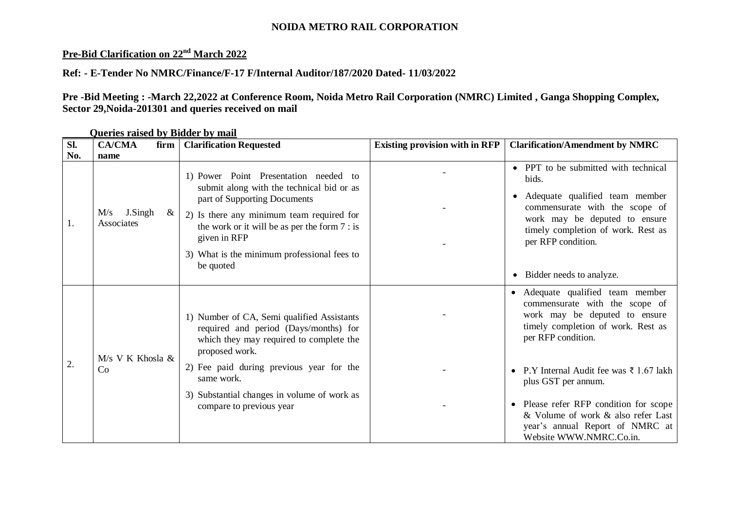## **NOIDA METRO RAIL CORPORATION**

## **Pre-Bid Clarification on 22nd March 2022**

## **Ref: - E-Tender No NMRC/Finance/F-17 F/Internal Auditor/187/2020 Dated- 11/03/2022**

**Pre -Bid Meeting : -March 22,2022 at Conference Room, Noida Metro Rail Corporation (NMRC) Limited , Ganga Shopping Complex, Sector 29,Noida-201301 and queries received on mail**

| Sl. | <b>CA/CMA</b><br>firm                     | <b>Clarification Requested</b>                                                                                                                                                                                                                                                                | <b>Existing provision with in RFP</b> | <b>Clarification/Amendment by NMRC</b>                                                                                                                                                                                                                                                                                                                                         |
|-----|-------------------------------------------|-----------------------------------------------------------------------------------------------------------------------------------------------------------------------------------------------------------------------------------------------------------------------------------------------|---------------------------------------|--------------------------------------------------------------------------------------------------------------------------------------------------------------------------------------------------------------------------------------------------------------------------------------------------------------------------------------------------------------------------------|
| No. | name                                      |                                                                                                                                                                                                                                                                                               |                                       |                                                                                                                                                                                                                                                                                                                                                                                |
|     | J.Singh<br>M/s<br>$\propto$<br>Associates | 1) Power Point Presentation needed to<br>submit along with the technical bid or as<br>part of Supporting Documents<br>2) Is there any minimum team required for<br>the work or it will be as per the form $7:$ is<br>given in RFP<br>3) What is the minimum professional fees to<br>be quoted |                                       | • PPT to be submitted with technical<br>bids.<br>Adequate qualified team member<br>$\bullet$<br>commensurate with the scope of<br>work may be deputed to ensure<br>timely completion of work. Rest as<br>per RFP condition.<br>Bidder needs to analyze.                                                                                                                        |
| 2.  | $M/s$ V K Khosla &<br>Co                  | 1) Number of CA, Semi qualified Assistants<br>required and period (Days/months) for<br>which they may required to complete the<br>proposed work.<br>2) Fee paid during previous year for the<br>same work.<br>3) Substantial changes in volume of work as<br>compare to previous year         |                                       | • Adequate qualified team member<br>commensurate with the scope of<br>work may be deputed to ensure<br>timely completion of work. Rest as<br>per RFP condition.<br>P.Y Internal Audit fee was ₹ 1.67 lakh<br>plus GST per annum.<br>• Please refer RFP condition for scope<br>& Volume of work & also refer Last<br>year's annual Report of NMRC at<br>Website WWW.NMRC.Co.in. |

**Queries raised by Bidder by mail**